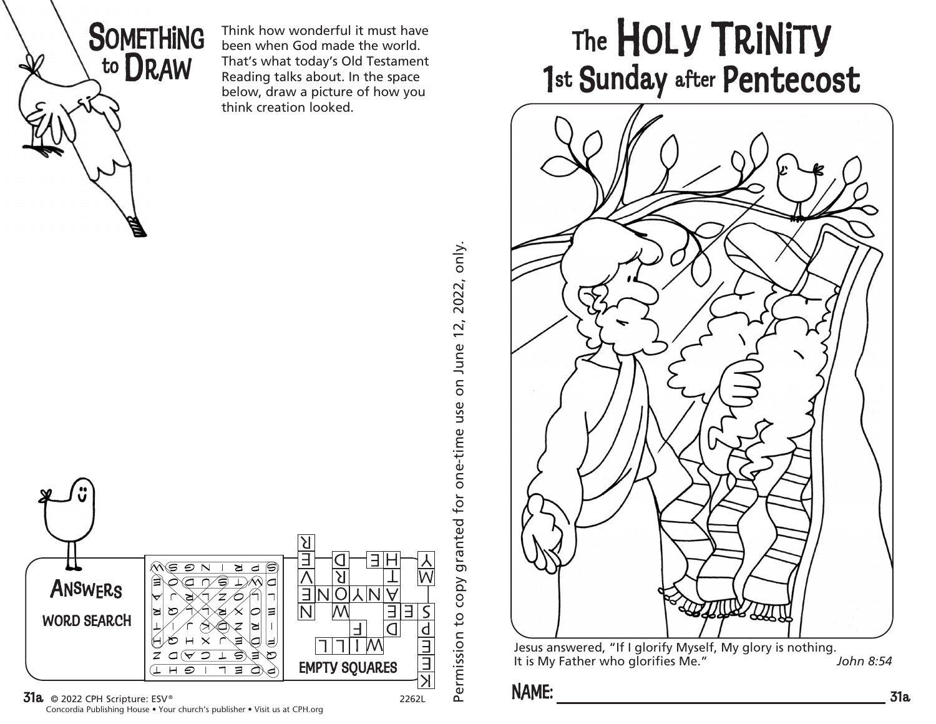

Think how wonderful it must have been when God made the world. That's what today's Old Testament Reading talks about. In the space below, draw a picture of how you think creation looked.



Concordia Publishing House • Your church's publisher • Visit us at CPH.org

Permission to copy granted for one-time use on June 12, 2022, only. Permission to copy granted for one-time use on June 12, 2022, only.

## The HOLY TRINITY 1st Sunday after Pentecost



Jesus answered, "If I glorify Myself, My glory is nothing.<br>It is My Father who glorifies Me." John 8:54 It is My Father who glorifies Me."

## **NAME:**